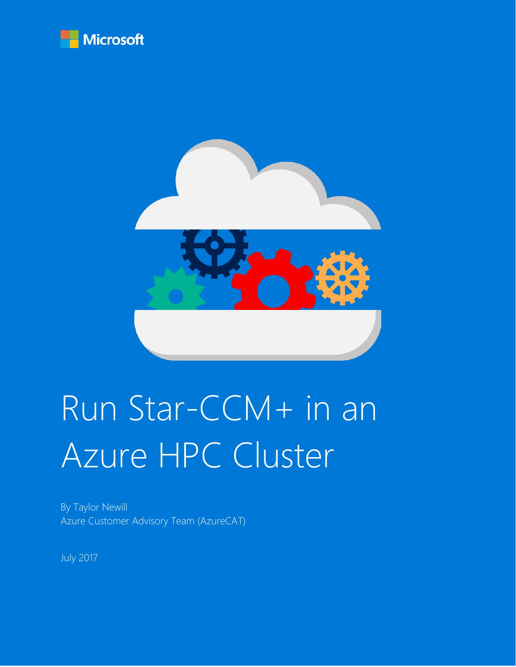



# Run Star-CCM+ in an Azure HPC Cluster

By Taylor Newill Azure Customer Advisory Team (AzureCAT)

July 2017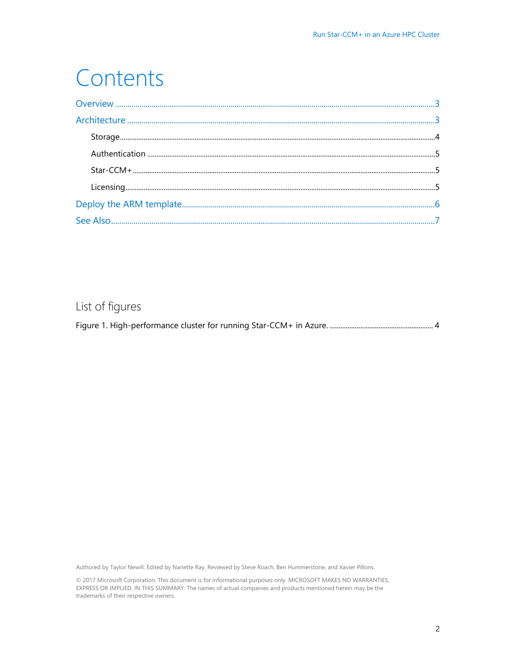## Contents

| $\texttt{Storage} \texttt{} \texttt{} \texttt{} \texttt{} \texttt{} \texttt{} \texttt{} \texttt{} \texttt{} \texttt{} \texttt{} \texttt{} \texttt{} \texttt{} \texttt{} \texttt{} \texttt{} \texttt{} \texttt{} \texttt{} \texttt{} \texttt{} \texttt{} \texttt{} \texttt{} \texttt{} \texttt{} \texttt{} \texttt{} \texttt{} \texttt{} \texttt{} \texttt{} \texttt{} \texttt{} \texttt{$ |  |
|-------------------------------------------------------------------------------------------------------------------------------------------------------------------------------------------------------------------------------------------------------------------------------------------------------------------------------------------------------------------------------------------|--|
|                                                                                                                                                                                                                                                                                                                                                                                           |  |
|                                                                                                                                                                                                                                                                                                                                                                                           |  |
|                                                                                                                                                                                                                                                                                                                                                                                           |  |
|                                                                                                                                                                                                                                                                                                                                                                                           |  |
|                                                                                                                                                                                                                                                                                                                                                                                           |  |

#### List of figures

|--|--|--|--|

Authored by Taylor Newill. Edited by Nanette Ray. Reviewed by Steve Roach, Ben Hummerstone, and Xavier Pillons.

© 2017 Microsoft Corporation. This document is for informational purposes only. MICROSOFT MAKES NO WARRANTIES, EXPRESS OR IMPLIED, IN THIS SUMMARY. The names of actual companies and products mentioned herein may be the trademarks of their respective owners.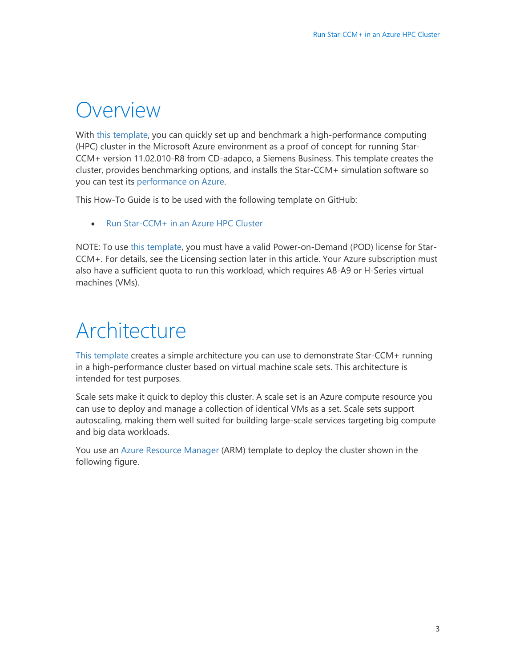### <span id="page-2-0"></span>Overview

With [this template,](https://github.com/tanewill/5clickTemplates/tree/master/RawStarCCMCluster) you can quickly set up and benchmark a high-performance computing (HPC) cluster in the Microsoft Azure environment as a proof of concept for running Star-CCM+ version 11.02.010-R8 from CD-adapco, a Siemens Business. This template creates the cluster, provides benchmarking options, and installs the Star-CCM+ simulation software so you can test its [performance on Azure.](https://azure.microsoft.com/en-us/blog/availability-of-star-ccm-on-microsoft-azure/?v=17.23h)

This How-To Guide is to be used with the following template on GitHub:

• [Run Star-CCM+ in an Azure HPC Cluster](https://github.com/tanewill/5clickTemplates/tree/master/RawStarCCMCluster)

NOTE: To use [this template,](https://github.com/tanewill/5clickTemplates/tree/master/RawStarCCMCluster) you must have a valid Power-on-Demand (POD) license for Star-CCM+. For details, see the Licensing section later in this article. Your Azure subscription must also have a sufficient quota to run this workload, which requires A8-A9 or H-Series virtual machines (VMs).

# <span id="page-2-1"></span>Architecture

[This template](https://github.com/tanewill/5clickTemplates/tree/master/RawStarCCMCluster) creates a simple architecture you can use to demonstrate Star-CCM+ running in a high-performance cluster based on virtual machine scale sets. This architecture is intended for test purposes.

Scale sets make it quick to deploy this cluster. A scale set is an Azure compute resource you can use to deploy and manage a collection of identical VMs as a set. Scale sets support autoscaling, making them well suited for building large-scale services targeting big compute and big data workloads.

You use an [Azure Resource Manager](https://docs.microsoft.com/en-us/azure/azure-resource-manager/resource-group-overview) (ARM) template to deploy the cluster shown in the following figure.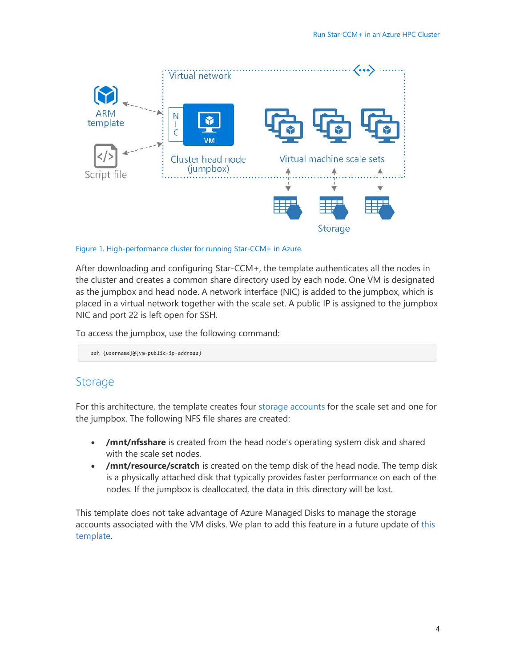

#### <span id="page-3-1"></span>Figure 1. High-performance cluster for running Star-CCM+ in Azure.

After downloading and configuring Star-CCM+, the template authenticates all the nodes in the cluster and creates a common share directory used by each node. One VM is designated as the jumpbox and head node. A network interface (NIC) is added to the jumpbox, which is placed in a virtual network together with the scale set. A public IP is assigned to the jumpbox NIC and port 22 is left open for SSH.

To access the jumpbox, use the following command:

ssh {username}@{vm-public-ip-address}

#### <span id="page-3-0"></span>Storage

For this architecture, the template creates four [storage accounts](https://docs.microsoft.com/en-us/azure/storage/storage-create-storage-account) for the scale set and one for the jumpbox. The following NFS file shares are created:

- **/mnt/nfsshare** is created from the head node's operating system disk and shared with the scale set nodes.
- **/mnt/resource/scratch** is created on the temp disk of the head node. The temp disk is a physically attached disk that typically provides faster performance on each of the nodes. If the jumpbox is deallocated, the data in this directory will be lost.

This template does not take advantage of Azure Managed Disks to manage the storage accounts associated with the VM disks. We plan to add this feature in a future update of [this](https://github.com/tanewill/5clickTemplates/tree/master/RawStarCCMCluster)  [template.](https://github.com/tanewill/5clickTemplates/tree/master/RawStarCCMCluster)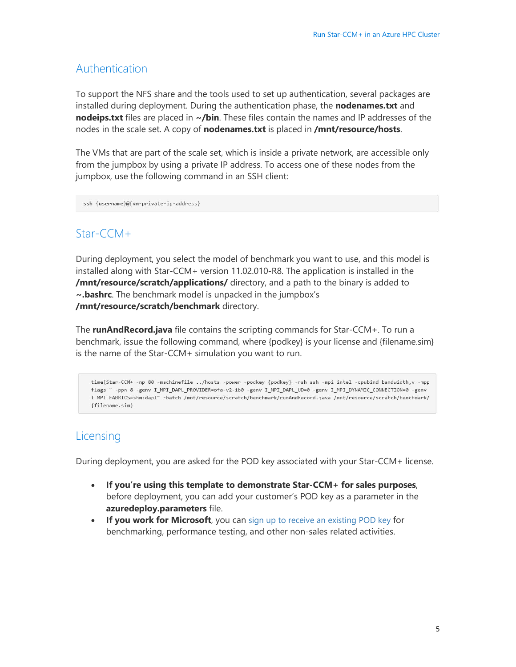#### <span id="page-4-0"></span>Authentication

To support the NFS share and the tools used to set up authentication, several packages are installed during deployment. During the authentication phase, the **nodenames.txt** and **nodeips.txt** files are placed in **~/bin**. These files contain the names and IP addresses of the nodes in the scale set. A copy of **nodenames.txt** is placed in **/mnt/resource/hosts**.

The VMs that are part of the scale set, which is inside a private network, are accessible only from the jumpbox by using a private IP address. To access one of these nodes from the jumpbox, use the following command in an SSH client:

ssh {username}@{vm-private-ip-address}

#### <span id="page-4-1"></span>Star-CCM+

During deployment, you select the model of benchmark you want to use, and this model is installed along with Star-CCM+ version 11.02.010-R8. The application is installed in the **/mnt/resource/scratch/applications/** directory, and a path to the binary is added to **~.bashrc**. The benchmark model is unpacked in the jumpbox's **/mnt/resource/scratch/benchmark** directory.

The **runAndRecord.java** file contains the scripting commands for Star-CCM+. To run a benchmark, issue the following command, where {podkey} is your license and {filename.sim} is the name of the Star-CCM+ simulation you want to run.

time(Star-CCM+ -np 80 -machinefile ../hosts -power -podkey {podkey} -rsh ssh -mpi intel -cpubind bandwidth, v -mpp flags " -ppn 8 -genv I\_MPI\_DAPL\_PROVIDER=ofa-v2-ib0 -genv I\_MPI\_DAPL\_UD=0 -genv I\_MPI\_DYNAMIC\_CONNECTION=0 -genv I\_MPI\_FABRICS=shm:dap1" -batch /mnt/resource/scratch/benchmark/runAndRecord.java /mnt/resource/scratch/benchmark/ {filename.sim}

#### <span id="page-4-2"></span>Licensing

During deployment, you are asked for the POD key associated with your Star-CCM+ license.

- **If you're using this template to demonstrate Star-CCM+ for sales purposes**, before deployment, you can add your customer's POD key as a parameter in the **azuredeploy.parameters** file.
- **If you work for Microsoft**, you can [sign up to receive an existing POD key](https://aka.ms/cd-adapco) for benchmarking, performance testing, and other non-sales related activities.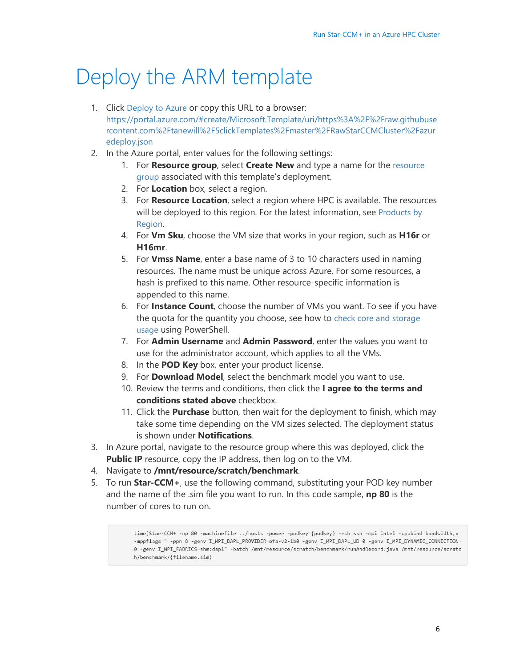# <span id="page-5-0"></span>Deploy the ARM template

- 1. Click [Deploy to Azure](https://portal.azure.com/#create/Microsoft.Template/uri/https%3A%2F%2Fraw.githubusercontent.com%2Ftanewill%2F5clickTemplates%2Fmaster%2FRawStarCCMCluster%2Fazuredeploy.json) or copy this URL to a browser: [https://portal.azure.com/#create/Microsoft.Template/uri/https%3A%2F%2Fraw.githubuse](https://portal.azure.com/%23create/Microsoft.Template/uri/https%3A%2F%2Fraw.githubusercontent.com%2Ftanewill%2F5clickTemplates%2Fmaster%2FRawStarCCMCluster%2Fazuredeploy.json) [rcontent.com%2Ftanewill%2F5clickTemplates%2Fmaster%2FRawStarCCMCluster%2Fazur](https://portal.azure.com/%23create/Microsoft.Template/uri/https%3A%2F%2Fraw.githubusercontent.com%2Ftanewill%2F5clickTemplates%2Fmaster%2FRawStarCCMCluster%2Fazuredeploy.json) [edeploy.json](https://portal.azure.com/%23create/Microsoft.Template/uri/https%3A%2F%2Fraw.githubusercontent.com%2Ftanewill%2F5clickTemplates%2Fmaster%2FRawStarCCMCluster%2Fazuredeploy.json)
- 2. In the Azure portal, enter values for the following settings:
	- 1. For **Resource group**, select **Create New** and type a name for the [resource](https://docs.microsoft.com/en-us/azure/azure-resource-manager/resource-group-overview#resource-groups)  [group](https://docs.microsoft.com/en-us/azure/azure-resource-manager/resource-group-overview#resource-groups) associated with this template's deployment.
	- 2. For **Location** box, select a region.
	- 3. For **Resource Location**, select a region where HPC is available. The resources will be deployed to this region. For the latest information, see [Products by](https://azure.microsoft.com/en-us/regions/services/)  [Region.](https://azure.microsoft.com/en-us/regions/services/)
	- 4. For **Vm Sku**, choose the VM size that works in your region, such as **H16r** or **H16mr**.
	- 5. For **Vmss Name**, enter a base name of 3 to 10 characters used in naming resources. The name must be unique across Azure. For some resources, a hash is prefixed to this name. Other resource-specific information is appended to this name.
	- 6. For **Instance Count**, choose the number of VMs you want. To see if you have the quota for the quantity you choose, see how to [check core and storage](https://blogs.msdn.microsoft.com/madan/2016/10/25/check-azure-resource-manager-arm-vm-core-storage-usage-using-powershell/)  [usage](https://blogs.msdn.microsoft.com/madan/2016/10/25/check-azure-resource-manager-arm-vm-core-storage-usage-using-powershell/) using PowerShell.
	- 7. For **Admin Username** and **Admin Password**, enter the values you want to use for the administrator account, which applies to all the VMs.
	- 8. In the **POD Key** box, enter your product license.
	- 9. For **Download Model**, select the benchmark model you want to use.
	- 10. Review the terms and conditions, then click the **I agree to the terms and conditions stated above** checkbox.
	- 11. Click the **Purchase** button, then wait for the deployment to finish, which may take some time depending on the VM sizes selected. The deployment status is shown under **Notifications**.
- 3. In Azure portal, navigate to the resource group where this was deployed, click the **Public IP** resource, copy the IP address, then log on to the VM.
- 4. Navigate to **/mnt/resource/scratch/benchmark**.
- 5. To run **Star-CCM+**, use the following command, substituting your POD key number and the name of the .sim file you want to run. In this code sample, **np 80** is the number of cores to run on.

time(Star-CCM+ -np 80 -machinefile ../hosts -power -podkey {podkey} -rsh ssh -mpi intel -cpubind bandwidth, v -mppflags " -ppn 8 -genv I\_MPI\_DAPL\_PROVIDER=ofa-v2-ib0 -genv I\_MPI\_DAPL\_UD=0 -genv I\_MPI\_DYNAMIC\_CONNECTION= 0 -genv I\_MPI\_FABRICS=shm:dapl" -batch /mnt/resource/scratch/benchmark/runAndRecord.java /mnt/resource/scratc h/benchmark/{filename.sim)